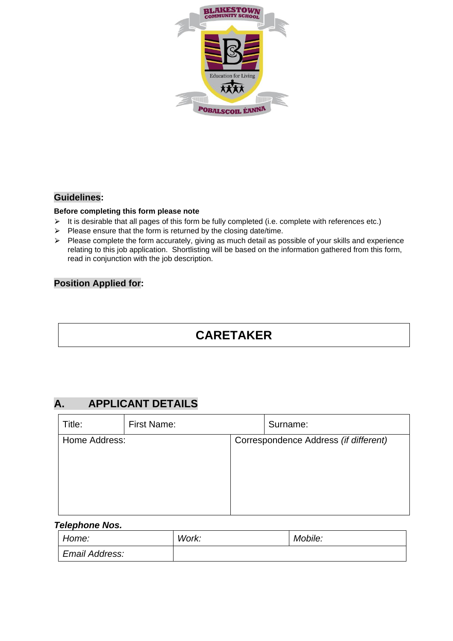

#### **Guidelines:**

#### **Before completing this form please note**

- $\triangleright$  It is desirable that all pages of this form be fully completed (i.e. complete with references etc.)
- $\triangleright$  Please ensure that the form is returned by the closing date/time.
- ⮚ Please complete the form accurately, giving as much detail as possible of your skills and experience relating to this job application. Shortlisting will be based on the information gathered from this form, read in conjunction with the job description.

#### **Position Applied for:**

# **CARETAKER**

## **A. APPLICANT DETAILS**

| Title:        | First Name: | Surname:                              |
|---------------|-------------|---------------------------------------|
| Home Address: |             | Correspondence Address (if different) |
|               |             |                                       |

#### *Telephone Nos.*

| Home:          | Work: | Mobile: |
|----------------|-------|---------|
| Email Address: |       |         |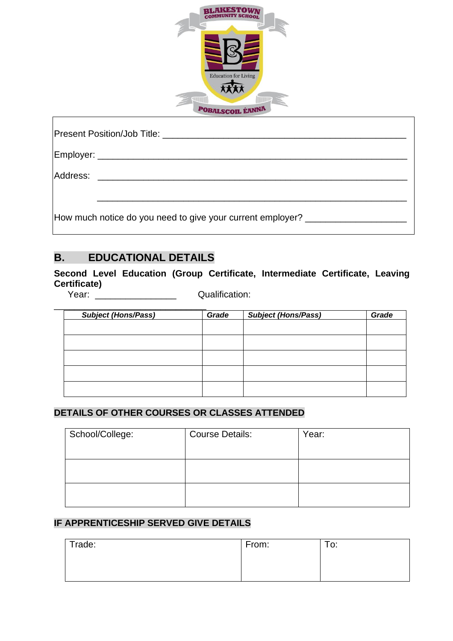

| Address: _______________________________                                         |
|----------------------------------------------------------------------------------|
| How much notice do you need to give your current employer? _____________________ |

# **B. EDUCATIONAL DETAILS**

**Second Level Education (Group Certificate, Intermediate Certificate, Leaving Certificate)**

Г

Year: <br>
Year: 
Qualification:

| <b>Subject (Hons/Pass)</b> | Grade | <b>Subject (Hons/Pass)</b> | Grade |
|----------------------------|-------|----------------------------|-------|
|                            |       |                            |       |
|                            |       |                            |       |
|                            |       |                            |       |
|                            |       |                            |       |
|                            |       |                            |       |
|                            |       |                            |       |

## **DETAILS OF OTHER COURSES OR CLASSES ATTENDED**

| School/College: | <b>Course Details:</b> | Year: |
|-----------------|------------------------|-------|
|                 |                        |       |
|                 |                        |       |
|                 |                        |       |
|                 |                        |       |
|                 |                        |       |

## **IF APPRENTICESHIP SERVED GIVE DETAILS**

| Trade: | From: | $T_{\Omega}$ .<br>v. |
|--------|-------|----------------------|
|        |       |                      |
|        |       |                      |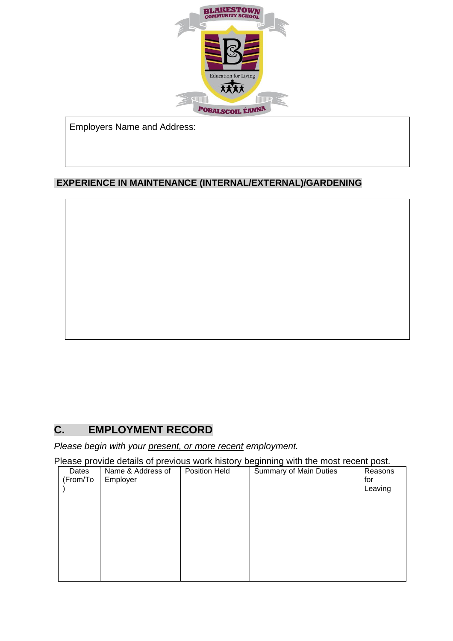

Employers Name and Address:

## **EXPERIENCE IN MAINTENANCE (INTERNAL/EXTERNAL)/GARDENING**

# **C. EMPLOYMENT RECORD**

*Please begin with your present, or more recent employment.*

Please provide details of previous work history beginning with the most recent post.

| Dates<br>(From/To | Name & Address of<br>Employer | Position Held | Summary of Main Duties | Reasons<br>for<br>Leaving |
|-------------------|-------------------------------|---------------|------------------------|---------------------------|
|                   |                               |               |                        |                           |
|                   |                               |               |                        |                           |
|                   |                               |               |                        |                           |
|                   |                               |               |                        |                           |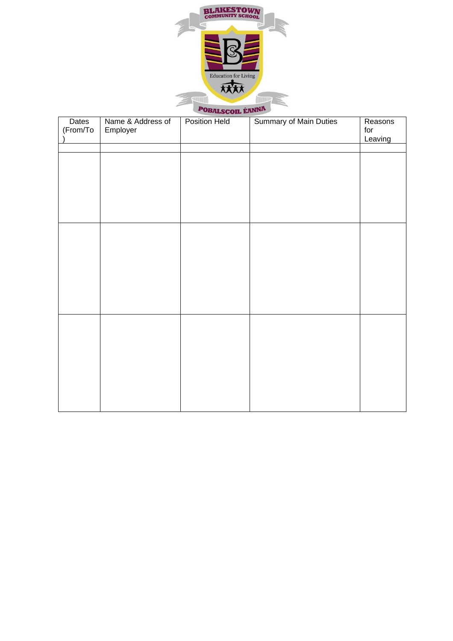

| Dates<br>(From/To | Name & Address of<br>Employer | Position Held | <b>Summary of Main Duties</b> | Reasons<br>for<br>Leaving |
|-------------------|-------------------------------|---------------|-------------------------------|---------------------------|
|                   |                               |               |                               |                           |
|                   |                               |               |                               |                           |
|                   |                               |               |                               |                           |
|                   |                               |               |                               |                           |
|                   |                               |               |                               |                           |
|                   |                               |               |                               |                           |
|                   |                               |               |                               |                           |
|                   |                               |               |                               |                           |
|                   |                               |               |                               |                           |
|                   |                               |               |                               |                           |
|                   |                               |               |                               |                           |
|                   |                               |               |                               |                           |
|                   |                               |               |                               |                           |
|                   |                               |               |                               |                           |
|                   |                               |               |                               |                           |
|                   |                               |               |                               |                           |
|                   |                               |               |                               |                           |
|                   |                               |               |                               |                           |
|                   |                               |               |                               |                           |
|                   |                               |               |                               |                           |
|                   |                               |               |                               |                           |
|                   |                               |               |                               |                           |
|                   |                               |               |                               |                           |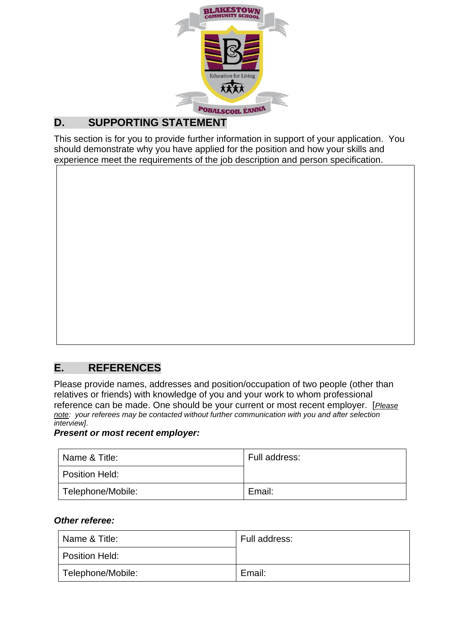

# **D. SUPPORTING STATEMENT**

This section is for you to provide further information in support of your application. You should demonstrate why you have applied for the position and how your skills and experience meet the requirements of the job description and person specification.



## **E. REFERENCES**

Please provide names, addresses and position/occupation of two people (other than relatives or friends) with knowledge of you and your work to whom professional reference can be made. One should be your current or most recent employer. [*Please note: your referees may be contacted without further communication with you and after selection interview]*.

### *Present or most recent employer:*

| Name & Title:     | Full address: |
|-------------------|---------------|
| Position Held:    |               |
| Telephone/Mobile: | Email:        |

#### *Other referee:*

| Name & Title:     | Full address: |
|-------------------|---------------|
| Position Held:    |               |
| Telephone/Mobile: | Email:        |